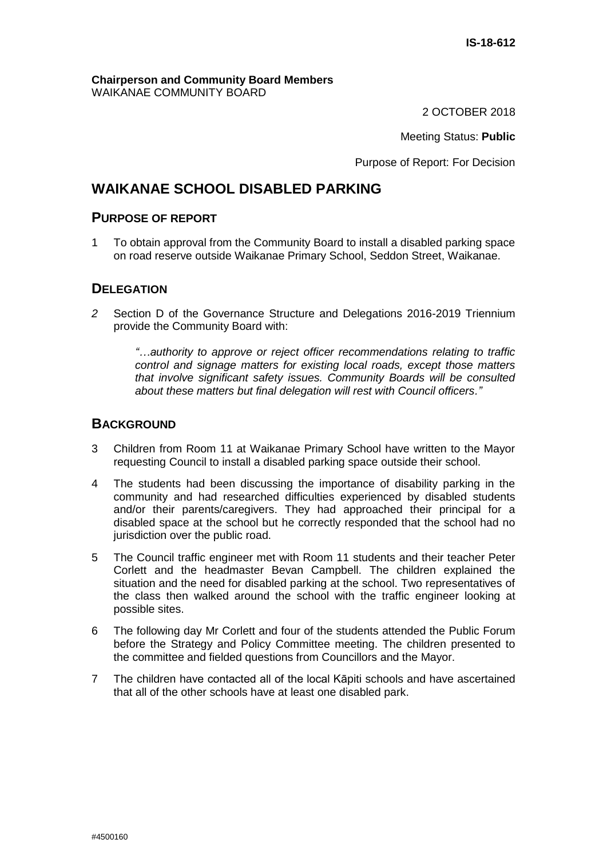#### **Chairperson and Community Board Members** WAIKANAE COMMUNITY BOARD

2 OCTOBER 2018

Meeting Status: **Public**

Purpose of Report: For Decision

## **WAIKANAE SCHOOL DISABLED PARKING**

#### **PURPOSE OF REPORT**

1 To obtain approval from the Community Board to install a disabled parking space on road reserve outside Waikanae Primary School, Seddon Street, Waikanae.

#### **DELEGATION**

*2* Section D of the Governance Structure and Delegations 2016-2019 Triennium provide the Community Board with:

> *"…authority to approve or reject officer recommendations relating to traffic control and signage matters for existing local roads, except those matters that involve significant safety issues. Community Boards will be consulted about these matters but final delegation will rest with Council officers."*

## **BACKGROUND**

- 3 Children from Room 11 at Waikanae Primary School have written to the Mayor requesting Council to install a disabled parking space outside their school.
- 4 The students had been discussing the importance of disability parking in the community and had researched difficulties experienced by disabled students and/or their parents/caregivers. They had approached their principal for a disabled space at the school but he correctly responded that the school had no jurisdiction over the public road.
- 5 The Council traffic engineer met with Room 11 students and their teacher Peter Corlett and the headmaster Bevan Campbell. The children explained the situation and the need for disabled parking at the school. Two representatives of the class then walked around the school with the traffic engineer looking at possible sites.
- 6 The following day Mr Corlett and four of the students attended the Public Forum before the Strategy and Policy Committee meeting. The children presented to the committee and fielded questions from Councillors and the Mayor.
- 7 The children have contacted all of the local Kāpiti schools and have ascertained that all of the other schools have at least one disabled park.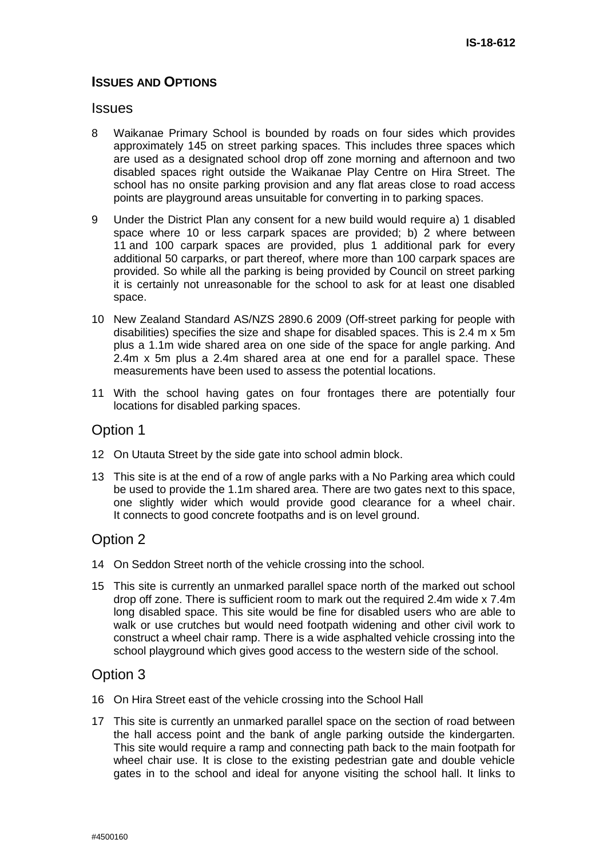## **ISSUES AND OPTIONS**

#### **Issues**

- 8 Waikanae Primary School is bounded by roads on four sides which provides approximately 145 on street parking spaces. This includes three spaces which are used as a designated school drop off zone morning and afternoon and two disabled spaces right outside the Waikanae Play Centre on Hira Street. The school has no onsite parking provision and any flat areas close to road access points are playground areas unsuitable for converting in to parking spaces.
- 9 Under the District Plan any consent for a new build would require a) 1 disabled space where 10 or less carpark spaces are provided; b) 2 where between 11 and 100 carpark spaces are provided, plus 1 additional park for every additional 50 carparks, or part thereof, where more than 100 carpark spaces are provided. So while all the parking is being provided by Council on street parking it is certainly not unreasonable for the school to ask for at least one disabled space.
- 10 New Zealand Standard AS/NZS 2890.6 2009 (Off-street parking for people with disabilities) specifies the size and shape for disabled spaces. This is 2.4 m x 5m plus a 1.1m wide shared area on one side of the space for angle parking. And 2.4m x 5m plus a 2.4m shared area at one end for a parallel space. These measurements have been used to assess the potential locations.
- 11 With the school having gates on four frontages there are potentially four locations for disabled parking spaces.

### Option 1

- 12 On Utauta Street by the side gate into school admin block.
- 13 This site is at the end of a row of angle parks with a No Parking area which could be used to provide the 1.1m shared area. There are two gates next to this space, one slightly wider which would provide good clearance for a wheel chair. It connects to good concrete footpaths and is on level ground.

## Option 2

- 14 On Seddon Street north of the vehicle crossing into the school.
- 15 This site is currently an unmarked parallel space north of the marked out school drop off zone. There is sufficient room to mark out the required 2.4m wide x 7.4m long disabled space. This site would be fine for disabled users who are able to walk or use crutches but would need footpath widening and other civil work to construct a wheel chair ramp. There is a wide asphalted vehicle crossing into the school playground which gives good access to the western side of the school.

## Option 3

- 16 On Hira Street east of the vehicle crossing into the School Hall
- 17 This site is currently an unmarked parallel space on the section of road between the hall access point and the bank of angle parking outside the kindergarten. This site would require a ramp and connecting path back to the main footpath for wheel chair use. It is close to the existing pedestrian gate and double vehicle gates in to the school and ideal for anyone visiting the school hall. It links to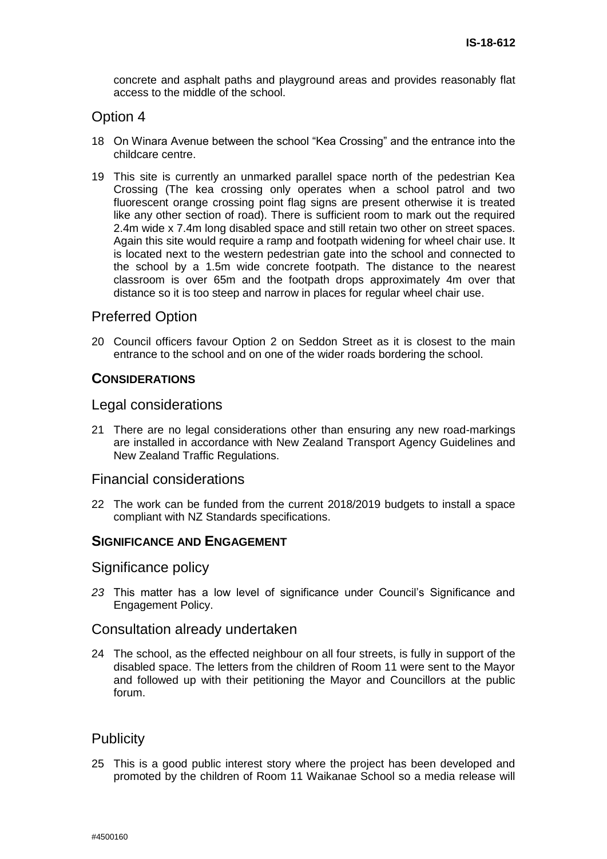concrete and asphalt paths and playground areas and provides reasonably flat access to the middle of the school.

## Option 4

- 18 On Winara Avenue between the school "Kea Crossing" and the entrance into the childcare centre.
- 19 This site is currently an unmarked parallel space north of the pedestrian Kea Crossing (The kea crossing only operates when a school patrol and two fluorescent orange crossing point flag signs are present otherwise it is treated like any other section of road). There is sufficient room to mark out the required 2.4m wide x 7.4m long disabled space and still retain two other on street spaces. Again this site would require a ramp and footpath widening for wheel chair use. It is located next to the western pedestrian gate into the school and connected to the school by a 1.5m wide concrete footpath. The distance to the nearest classroom is over 65m and the footpath drops approximately 4m over that distance so it is too steep and narrow in places for regular wheel chair use.

## Preferred Option

20 Council officers favour Option 2 on Seddon Street as it is closest to the main entrance to the school and on one of the wider roads bordering the school.

#### **CONSIDERATIONS**

#### Legal considerations

21 There are no legal considerations other than ensuring any new road-markings are installed in accordance with New Zealand Transport Agency Guidelines and New Zealand Traffic Regulations.

#### Financial considerations

22 The work can be funded from the current 2018/2019 budgets to install a space compliant with NZ Standards specifications.

### **SIGNIFICANCE AND ENGAGEMENT**

#### Significance policy

*23* This matter has a low level of significance under Council's Significance and Engagement Policy.

#### Consultation already undertaken

24 The school, as the effected neighbour on all four streets, is fully in support of the disabled space. The letters from the children of Room 11 were sent to the Mayor and followed up with their petitioning the Mayor and Councillors at the public forum.

## **Publicity**

25 This is a good public interest story where the project has been developed and promoted by the children of Room 11 Waikanae School so a media release will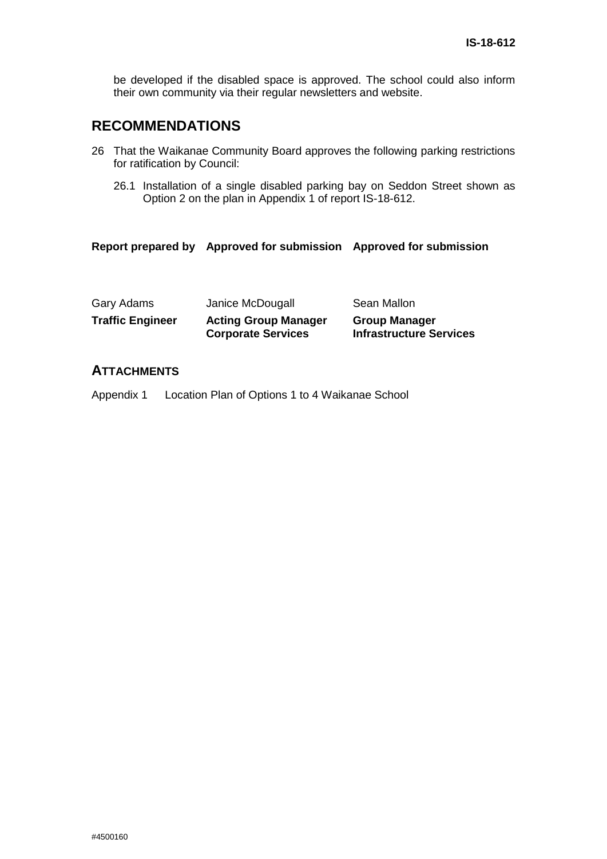be developed if the disabled space is approved. The school could also inform their own community via their regular newsletters and website.

## **RECOMMENDATIONS**

- 26 That the Waikanae Community Board approves the following parking restrictions for ratification by Council:
	- 26.1 Installation of a single disabled parking bay on Seddon Street shown as Option 2 on the plan in Appendix 1 of report IS-18-612.

#### **Report prepared by Approved for submission Approved for submission**

| Gary Adams              | Janice McDougall                                         | Sean Mallon                                            |
|-------------------------|----------------------------------------------------------|--------------------------------------------------------|
| <b>Traffic Engineer</b> | <b>Acting Group Manager</b><br><b>Corporate Services</b> | <b>Group Manager</b><br><b>Infrastructure Services</b> |

## **ATTACHMENTS**

Appendix 1 Location Plan of Options 1 to 4 Waikanae School